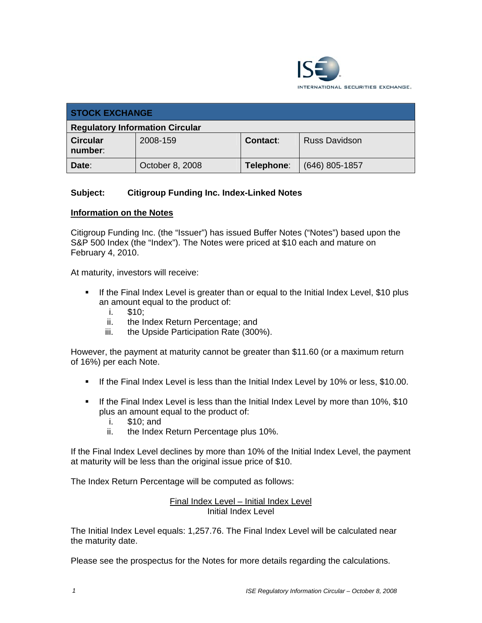

| <b>STOCK EXCHANGE</b>                  |                 |            |                      |  |
|----------------------------------------|-----------------|------------|----------------------|--|
| <b>Regulatory Information Circular</b> |                 |            |                      |  |
| <b>Circular</b><br>number:             | 2008-159        | Contact:   | <b>Russ Davidson</b> |  |
| Date:                                  | October 8, 2008 | Telephone: | $(646)$ 805-1857     |  |

## **Subject: Citigroup Funding Inc. Index-Linked Notes**

### **Information on the Notes**

Citigroup Funding Inc. (the "Issuer") has issued Buffer Notes ("Notes") based upon the S&P 500 Index (the "Index"). The Notes were priced at \$10 each and mature on February 4, 2010.

At maturity, investors will receive:

- **If the Final Index Level is greater than or equal to the Initial Index Level, \$10 plus** an amount equal to the product of:
	- i. \$10;
	- ii. the Index Return Percentage; and
	- iii. the Upside Participation Rate (300%).

However, the payment at maturity cannot be greater than \$11.60 (or a maximum return of 16%) per each Note.

- If the Final Index Level is less than the Initial Index Level by 10% or less, \$10.00.
- If the Final Index Level is less than the Initial Index Level by more than 10%, \$10 plus an amount equal to the product of:
	- i. \$10; and
	- ii. the Index Return Percentage plus 10%.

If the Final Index Level declines by more than 10% of the Initial Index Level, the payment at maturity will be less than the original issue price of \$10.

The Index Return Percentage will be computed as follows:

#### Final Index Level – Initial Index Level Initial Index Level

The Initial Index Level equals: 1,257.76. The Final Index Level will be calculated near the maturity date.

Please see the prospectus for the Notes for more details regarding the calculations.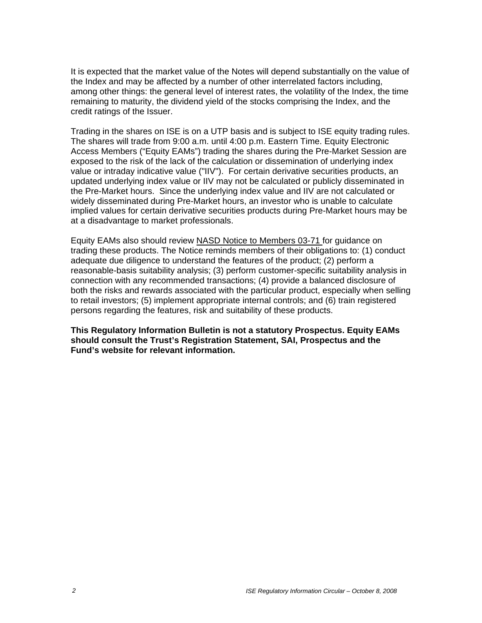It is expected that the market value of the Notes will depend substantially on the value of the Index and may be affected by a number of other interrelated factors including, among other things: the general level of interest rates, the volatility of the Index, the time remaining to maturity, the dividend yield of the stocks comprising the Index, and the credit ratings of the Issuer.

Trading in the shares on ISE is on a UTP basis and is subject to ISE equity trading rules. The shares will trade from 9:00 a.m. until 4:00 p.m. Eastern Time. Equity Electronic Access Members ("Equity EAMs") trading the shares during the Pre-Market Session are exposed to the risk of the lack of the calculation or dissemination of underlying index value or intraday indicative value ("IIV"). For certain derivative securities products, an updated underlying index value or IIV may not be calculated or publicly disseminated in the Pre-Market hours. Since the underlying index value and IIV are not calculated or widely disseminated during Pre-Market hours, an investor who is unable to calculate implied values for certain derivative securities products during Pre-Market hours may be at a disadvantage to market professionals.

Equity EAMs also should review NASD Notice to Members 03-71 for guidance on trading these products. The Notice reminds members of their obligations to: (1) conduct adequate due diligence to understand the features of the product; (2) perform a reasonable-basis suitability analysis; (3) perform customer-specific suitability analysis in connection with any recommended transactions; (4) provide a balanced disclosure of both the risks and rewards associated with the particular product, especially when selling to retail investors; (5) implement appropriate internal controls; and (6) train registered persons regarding the features, risk and suitability of these products.

**This Regulatory Information Bulletin is not a statutory Prospectus. Equity EAMs should consult the Trust's Registration Statement, SAI, Prospectus and the Fund's website for relevant information.**